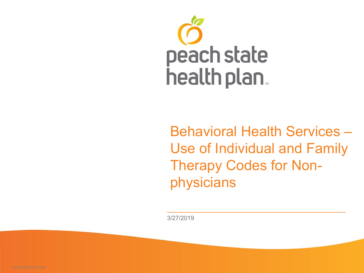

Behavioral Health Services – Use of Individual and Family Therapy Codes for Nonphysicians

3/27/2019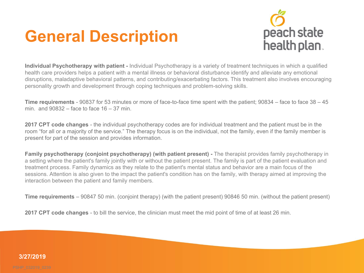## **General Description**



**Individual Psychotherapy with patient -** Individual Psychotherapy is a variety of treatment techniques in which a qualified health care providers helps a patient with a mental illness or behavioral disturbance identify and alleviate any emotional disruptions, maladaptive behavioral patterns, and contributing/exacerbating factors. This treatment also involves encouraging personality growth and development through coping techniques and problem-solving skills.

**Time requirements** - 90837 for 53 minutes or more of face-to-face time spent with the patient; 90834 – face to face 38 – 45 min. and 90832 – face to face 16 – 37 min.

**2017 CPT code changes** - the individual psychotherapy codes are for individual treatment and the patient must be in the room "for all or a majority of the service." The therapy focus is on the individual, not the family, even if the family member is present for part of the session and provides information.

**Family psychotherapy (conjoint psychotherapy) (with patient present)** - The therapist provides family psychotherapy in a setting where the patient's family jointly with or without the patient present. The family is part of the patient evaluation and treatment process. Family dynamics as they relate to the patient's mental status and behavior are a main focus of the sessions. Attention is also given to the impact the patient's condition has on the family, with therapy aimed at improving the interaction between the patient and family members.

**Time requirements** – 90847 50 min. (conjoint therapy) (with the patient present) 90846 50 min. (without the patient present)

**2017 CPT code changes** - to bill the service, the clinician must meet the mid point of time of at least 26 min.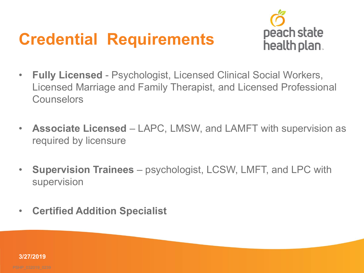## **Credential Requirements**



- $\bullet$ **Fully Licensed** - Psychologist, Licensed Clinical Social Workers, Licensed Marriage and Family Therapist, and Licensed Professional **Counselors**
- **Associate Licensed**  LAPC, LMSW, and LAMFT with supervision as required by licensure
- **Supervision Trainees**  psychologist, LCSW, LMFT, and LPC with supervision
- **Certified Addition Specialist**